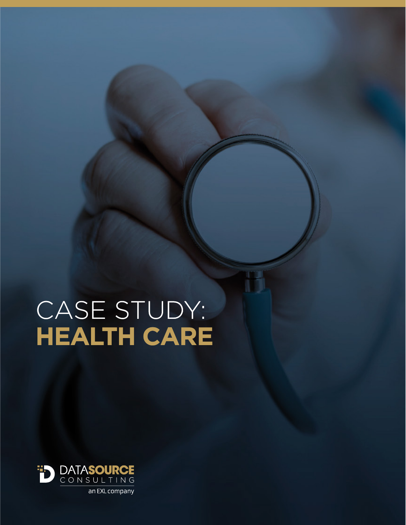# CASE STUDY: **HEALTH CARE**

T

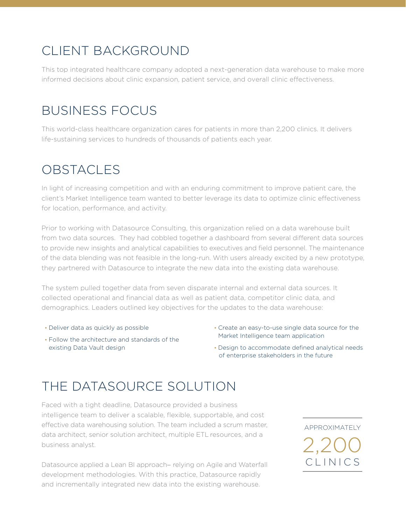## CLIENT BACKGROUND

This top integrated healthcare company adopted a next-generation data warehouse to make more informed decisions about clinic expansion, patient service, and overall clinic effectiveness.

## BUSINESS FOCUS

This world-class healthcare organization cares for patients in more than 2,200 clinics. It delivers life-sustaining services to hundreds of thousands of patients each year.

## OBSTACLES

In light of increasing competition and with an enduring commitment to improve patient care, the client's Market Intelligence team wanted to better leverage its data to optimize clinic effectiveness for location, performance, and activity.

Prior to working with Datasource Consulting, this organization relied on a data warehouse built from two data sources. They had cobbled together a dashboard from several different data sources to provide new insights and analytical capabilities to executives and field personnel. The maintenance of the data blending was not feasible in the long-run. With users already excited by a new prototype, they partnered with Datasource to integrate the new data into the existing data warehouse.

The system pulled together data from seven disparate internal and external data sources. It collected operational and financial data as well as patient data, competitor clinic data, and demographics. Leaders outlined key objectives for the updates to the data warehouse:

- Deliver data as quickly as possible
- Follow the architecture and standards of the existing Data Vault design
- Create an easy-to-use single data source for the Market Intelligence team application
- Design to accommodate defined analytical needs of enterprise stakeholders in the future

# THE DATASOURCE SOLUTION

Faced with a tight deadline, Datasource provided a business intelligence team to deliver a scalable, flexible, supportable, and cost effective data warehousing solution. The team included a scrum master, data architect, senior solution architect, multiple ETL resources, and a business analyst.

Datasource applied a Lean BI approach− relying on Agile and Waterfall development methodologies. With this practice, Datasource rapidly and incrementally integrated new data into the existing warehouse.

CLINICS APPROXIMATELY  $2,200$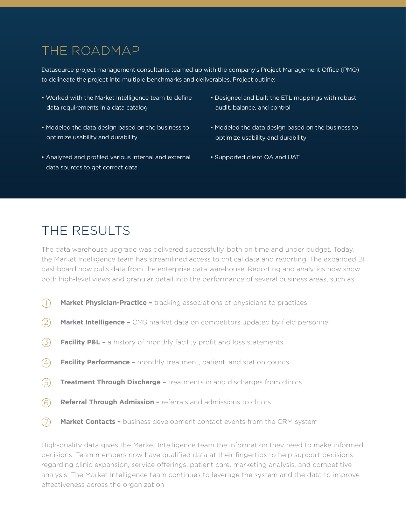#### THE ROADMAP

Datasource project management consultants teamed up with the company's Project Management Office (PMO) to delineate the project into multiple benchmarks and deliverables. Project outline:

- Worked with the Market Intelligence team to define data requirements in a data catalog
- Modeled the data design based on the business to optimize usability and durability
- Analyzed and profiled various internal and external data sources to get correct data
- Designed and built the ETL mappings with robust audit, balance, and control
- Modeled the data design based on the business to optimize usability and durability
- Supported client QA and UAT

#### THE RESULTS

The data warehouse upgrade was delivered successfully, both on time and under budget. Today, the Market Intelligence team has streamlined access to critical data and reporting. The expanded BI dashboard now pulls data from the enterprise data warehouse. Reporting and analytics now show both high-level views and granular detail into the performance of several business areas, such as:

- **Market Physician-Practice** tracking associations of physicians to practices  $(1)$
- **Market Intelligence** CMS market data on competitors updated by field personnel 2
- **Facility P&L -** a history of monthly facility profit and loss statements 3
- **Facility Performance –** monthly treatment, patient, and station counts 4
- **Treatment Through Discharge** treatments in and discharges from clinics 5
- **Referral Through Admission** referrals and admissions to clinics 6
- **Market Contacts** business development contact events from the CRM system  $(7)$

High-quality data gives the Market Intelligence team the information they need to make informed decisions. Team members now have qualified data at their fingertips to help support decisions regarding clinic expansion, service offerings, patient care, marketing analysis, and competitive analysis. The Market Intelligence team continues to leverage the system and the data to improve effectiveness across the organization.